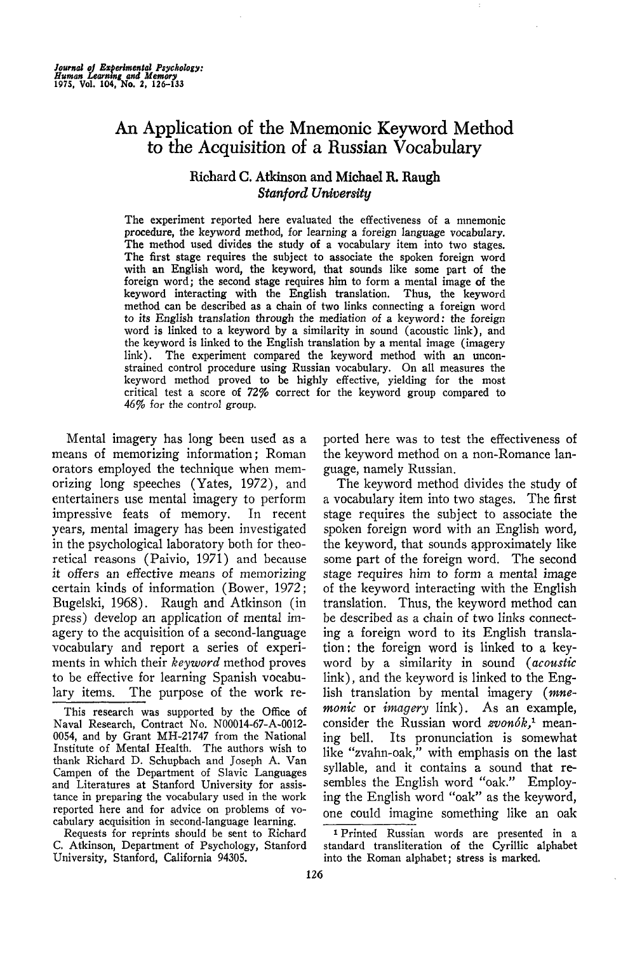# An Application of the Mnemonic Keyword Method to the Acquisition of a Russian Vocabulary

# Richard C. Atkinson and Michael R. Raugh *Stanford University*

The experiment reported here evaluated the effectiveness of a mnemonic procedure, the keyword method, for learning a foreign language vocabulary. The method used divides the study of a vocabulary item into two stages. The first stage requires the subject to associate the spoken foreign word with an English word, the keyword, that sounds like some part of the foreign word; the second stage requires him to form a mental image of the keyword interacting with the English translation. Thus, the keyword method can be described as a chain of two links connecting a foreign word to its English translation through the mediation of a keyword: the foreign word is linked to a keyword by a similarity in sound (acoustic link), and the keyword is linked to the English translation by a mental image (imagery link). The experiment compared the keyword method with an unconstrained control procedure using Russian vocabulary. On all measures the keyword method proved to be highly effective, yielding for the most critical test a score of *72%* correct for the keyword group compared to 46% for the control group.

Mental imagery has long been used as a means of memorizing information; Roman orators employed the technique when memorizing long speeches (Yates, 1972), and entertainers use mental imagery to perform impressive feats of memory. In recent years, mental imagery has been investigated in the psychological laboratory both for theoretical reasons (Paivio, 1971) and because it offers an effective means of memorizing certain kinds of information (Bower, 1972; Bugelski, 1968). Raugh and Atkinson (in press) develop an application of mental imagery to the acquisition of a second-language vocabulary and report a series of experiments in which their *keyword* method proves to be effective for learning Spanish vocabulary items. The purpose of the work re-

Requests for reprints should be sent to Richard C. Atkinson, Department of Psychology, Stanford University, Stanford, California 94305.

ported here was to test the effectiveness of the keyword method on a non-Romance language, namely Russian.

The keyword method divides the study of a vocabulary item into two stages. The first stage requires the subject to associate the spoken foreign word with an English word, the keyword, that sounds approximately like some part of the foreign word. The second stage requires him to form a mental image of the keyword interacting with the English translation. Thus, the keyword method can be described as a chain of two links connecting a foreign word to its English translation : the foreign word is linked to a keyword by a similarity in sound *(acoustic* link), and the keyword is linked to the English translation by mental imagery *(mnemonic* or *imagery* link). As an example, consider the Russian word *zvonók*,<sup>1</sup> meaning bell. Its pronunciation is somewhat like "zvahn-oak," with emphasis on the last syllable, and it contains a sound that resembles the English word "oak." Employing the English word "oak" as the keyword, one could imagine something like an oak

This research was supported by the Office of Naval Research, Contract No. N00014-67-A-0012- 0054, and by Grant MH-21747 from the National Institute of Mental Health. The authors wish to thank Richard D. Schupbach and Joseph A. Van Campen of the Department of Slavic Languages and Literatures at Stanford University for assistance in preparing the vocabulary used in the work reported here and for advice on problems of vocabulary acquisition in second-language learning.

**<sup>1</sup> Printed Russian words are presented in a** standard transliteration of the Cyrillic alphabet into the Roman alphabet; stress is marked.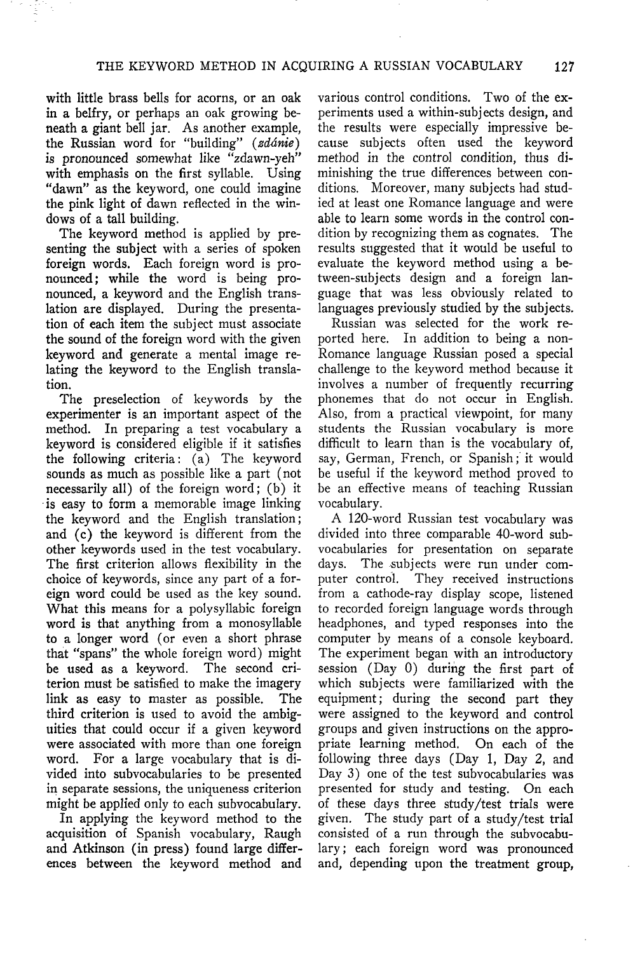with little brass bells for acorns, or an oak in a belfry, or perhaps an oak growing beneath a giant bell jar. As another example, the Russian word for "building" *(zddnie)* is pronounced somewhat like "zdawn-yeh" with emphasis on the first syllable. Using "dawn" as the keyword, one could imagine the pink light of dawn reflected in the windows of a tall building.

The keyword method is applied by presenting the subject with a series of spoken foreign words. Each foreign word is pronounced; while the word is being pronounced, a keyword and the English translation are displayed. During the presentation of each item the subject must associate the sound of the foreign word with the given keyword and generate a mental image relating the keyword to the English translation.

The preselection of keywords by the experimenter is an important aspect of the method. In preparing a test vocabulary a keyword is considered eligible if it satisfies the following criteria: (a) The keyword sounds as much as possible like a part (not necessarily all) of the foreign word; (b) it is easy to form a memorable image linking the keyword and the English translation; and (c) the keyword is different from the other keywords used in the test vocabulary. The first criterion allows flexibility in the choice of keywords, since any part of a foreign word could be used as the key sound. What this means for a polysyllabic foreign word is that anything from a monosyllable to a longer word (or even a short phrase that "spans" the whole foreign word) might be used as a keyword. The second criterion must be satisfied to make the imagery link as easy to master as possible. The third criterion is used to avoid the ambiguities that could occur if a given keyword were associated with more than one foreign word. For a large vocabulary that is divided into subvocabularies to be presented in separate sessions, the uniqueness criterion might be applied only to each subvocabulary.

In applying the keyword method to the acquisition of Spanish vocabulary, Raugh and Atkinson (in press) found large differences between the keyword method and

various control conditions. Two of the experiments used a within-subjects design, and the results were especially impressive because subjects often used the keyword method in the control condition, thus diminishing the true differences between conditions. Moreover, many subjects had studied at least one Romance language and were able to learn some words in the control condition by recognizing them as cognates. The results suggested that it would be useful to evaluate the keyword method using a between-subjects design and a foreign language that was less obviously related to languages previously studied by the subjects.

Russian was selected for the work reported here. In addition to being a non-Romance language Russian posed a special challenge to the keyword method because it involves a number of frequently recurring phonemes that do not occur in English. Also, from a practical viewpoint, for many students the Russian vocabulary is more difficult to learn than is the vocabulary of, say, German, French, or Spanish; it would be useful if the keyword method proved to be an effective means of teaching Russian vocabulary.

A 120-word Russian test vocabulary was divided into three comparable 40-word subvocabularies for presentation on separate days. The subjects were run under computer control. They received instructions from a cathode-ray display scope, listened to recorded foreign language words through headphones, and typed responses into the computer by means of a console keyboard. The experiment began with an introductory session (Day 0) during the first part of which subjects were familiarized with the equipment; during the second part they were assigned to the keyword and control groups and given instructions on the appropriate learning method, On each of the following three days (Day 1, Day 2, and Day 3) one of the test subvocabularies was presented for study and testing. On each of these days three study/test trials were given. The study part of a study/test trial consisted of a run through the subvocabulary; each foreign word was pronounced and, depending upon the treatment group,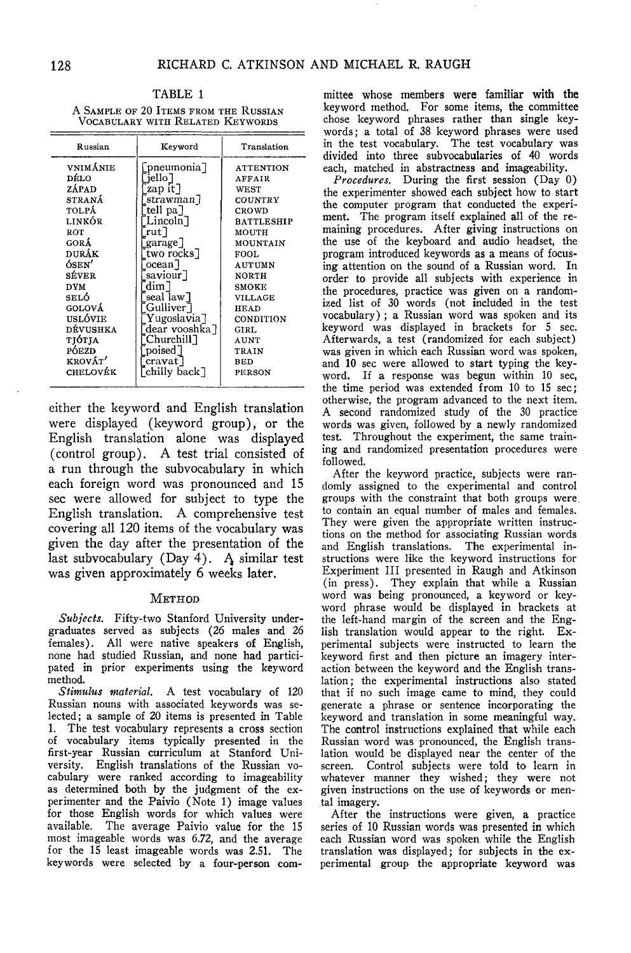| Russian         | Keyword               | Translation       |
|-----------------|-----------------------|-------------------|
| VNIMÁNIE        | _pneumonia]           | <b>ATTENTION</b>  |
| DÉLO            | iello l               | <b>AFFAIR</b>     |
| ZÁPAD           | zap it]               | WEST              |
| STRANÁ          | strawman]             | COUNTRY           |
| TOLPÁ           | tell pa]              | <b>CROWD</b>      |
| LINKÓR          | Lincoln <sup>-</sup>  | <b>BATTLESHIP</b> |
| ROT             | rut 1                 | MOUTH             |
| GORÁ            | garage                | MOUNTAIN          |
| <b>DURÁK</b>    | two rocks]            | <b>FOOL</b>       |
| ósen′           | ocean]                | AUTUMN            |
| séver           | saviour 1             | <b>NORTH</b>      |
| DYM             | 'dim 1                | SMOKE             |
| SELÓ            | seal law]             | <b>VILLAGE</b>    |
| <b>GOLOVÁ</b>   | Gulliver <sup>-</sup> | <b>HEAD</b>       |
| USLÓVIE         | Yugoslavia]           | <b>CONDITION</b>  |
| DÉVUSHKA        | dear vooshka l        | GIRL              |
| тіотіа          | Churchill ]           | <b>AUNT</b>       |
| PÓEZD           | poised <sup>-</sup>   | TRAIN             |
| KROVÁT'         | cravat                | BED               |
| <b>CHELOVÉK</b> | ⊺chilly back∃         | PERSON            |

TABLE 1 A SAMPLE OF 20 ITEMS FROM THE RUSSIAN VOCABULARY WITH RELATED KEYWORDS

either the keyword and English translation were displayed (keyword group), or the English translation alone was displayed (control group). A test trial consisted of a run through the subvocabulary in which each foreign word was pronounced and 15 sec were allowed for subject to type the English translation. A comprehensive test covering all 120 items of the vocabulary was given the day after the presentation of the last subvocabulary  $(Day 4)$ . A similar test was given approximately 6 weeks later.

# METHOD

*Subjects.* Fifty-two Stanford University undergraduates served as subjects (26 males and 26 females). All were native speakers of English, none had studied Russian, and none had participated in prior experiments using the keyword method.

*Stimulus material.* A test vocabulary of 120 Russian nouns with associated keywords was selected; a sample of 20 items is presented in Table 1. The test vocabulary represents a cross section of vocabulary items typically presented in the first-year Russian curriculum at Stanford University. English translations of the Russian vocabulary were ranked according to imageability as determined both by the judgment of the experimenter and the Paivio (Note 1) image values for those English words for which values were available. The average Paivio value for the 15 most imageable words was 6.72, and the average for the 15 least imageable words was 2.51. The keywords were selected by a four-person com-

mittee whose members were familiar with the keyword method. For some items, the committee chose keyword phrases rather than single keywords; a total of 38 keyword phrases were used in the test vocabulary. The test vocabulary was divided into three subvocabularies of 40 words each, matched in abstractness and imageability.

*Procedures.* During the first session (Day 0) the experimenter showed each subject how to start the computer program that conducted the experiment. The program itself explained all of the remaining procedures. After giving instructions on the use of the keyboard and audio headset, the program introduced keywords as a means of focusing attention on the sound of a Russian word. In order to provide all subjects with experience in the procedures, practice was given on a randomized list of 30 words (not included in the test vocabulary) ; a Russian word was spoken and its keyword was displayed in brackets for 5 sec. Afterwards, a test (randomized for each subject) was given in which each Russian word was spoken, and 10 sec were allowed to start typing the keyword. If a response was begun within 10 sec, the time period was extended from 10 to 15 sec; otherwise, the program advanced to the next item. A second randomized study of the 30 practice words was given, followed by a newly randomized test. Throughout the experiment, the same training and randomized presentation procedures were followed.

After the keyword practice, subjects were randomly assigned to the experimental and control groups with the constraint that both groups were, to contain an equal number of males and females. They were given the appropriate written instructions on the method for associating Russian words and English translations. The experimental instructions were like the keyword instructions for Experiment III presented in Raugh and Atkinson (in press). They explain that while a Russian word was being pronounced, a keyword or keyword phrase would be displayed in brackets at the left-hand margin of the screen and the English translation would appear to the right. Experimental subjects were instructed to learn the keyword first and then picture an imagery interaction between the keyword and the English translation; the experimental instructions also stated that if no such image came to mind, they could generate a phrase or sentence incorporating the keyword and translation in some meaningful way. The control instructions explained that while each Russian word was pronounced, the English translation would be displayed near the center of the screen. Control subjects were told to learn in whatever manner they wished; they were not given instructions on the use of keywords or mental imagery.

After the instructions were given, a practice series of 10 Russian words was presented in which each Russian word was spoken while the English translation was displayed; for subjects in the experimental group the appropriate keyword was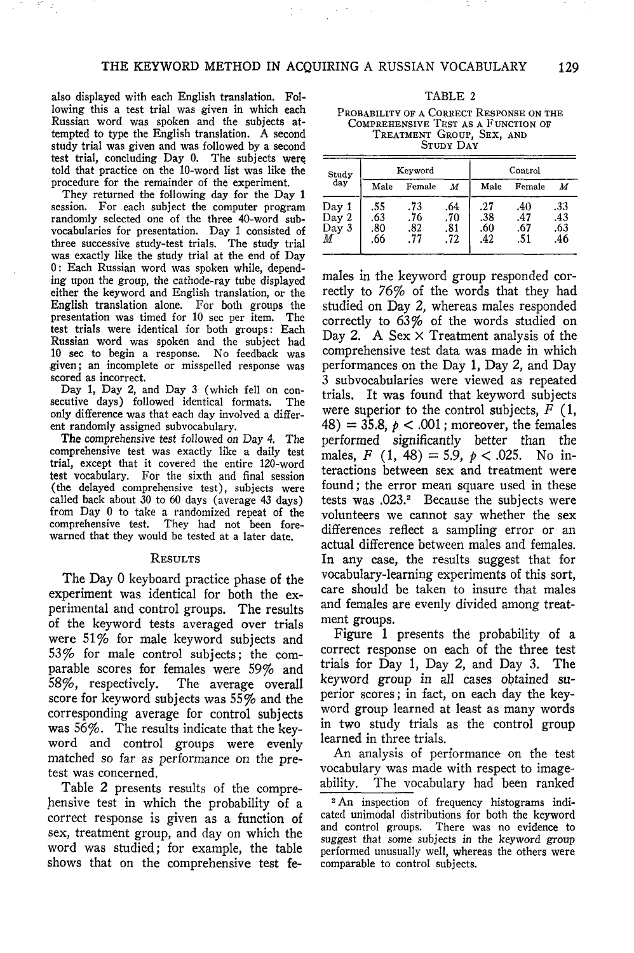also displayed with each English translation. Following this a test trial was given in which each Russian word was spoken and the subjects attempted to type the English translation. A second study trial was given and was followed by a second test trial, concluding Day 0. The subjects were, told that practice on the 10-word list was like the procedure for the remainder of the experiment.

They returned the following day for the Day 1 session. For each subject the computer program randomly selected one of the three 40-word subvocabularies for presentation. Day 1 consisted of three successive study-test trials. The study trial was exactly like the study trial at the end of Day 0: Each Russian word was spoken while, depending upon the group, the cathode-ray tube displayed either the keyword and English translation, or the English translation alone. For both groups the presentation was timed for 10 sec per item. The test trials were identical for both groups: Each Russian word was spoken and the subject had 10 sec to begin a response. No feedback was given; an incomplete or misspelled response was scored as incorrect.

Day I, Day 2, and Day 3 (which fell on consecutive days) followed identical formats. The only difference was that each day involved a different randomly assigned subvocabulary.

The comprehensive test followed on Day 4. The comprehensive test was exactly like a daily test trial, except that it covered the entire 120-word test vocabulary. For the sixth and final session (the delayed comprehensive test), subjects were called back about 30 to 60 days (average 43 days) from Day 0 to take a randomized repeat of the comprehensive test. They had not been forewarned that they would be tested at a later date.

#### RESULTS

The Day 0 keyboard practice phase of the experiment was identical for both the experimental and control groups. The results of the keyword tests averaged over trials were 51% for male keyword subjects and *53%* for male control subjects; the comparable scores for females were 59% and 58%, respectively. The average overall score for keyword subjects was 55% and the corresponding average for control subjects was 56%. The results indicate that the keyword and control groups were evenly matched so far as performance on the pretest was concerned.

Table 2 presents results of the comprehensive test in which the probability of a correct response is given as a function of sex, treatment group, and day on which the word was studied; for example, the table shows that on the comprehensive test fe-

TABLE 2

PROBABILITY OF A CORRECT RESPONSE ON THE COMPREHENSIVE TEST AS A FUNCTION OF TREATMENT GROUP, SEX, AND STUDY DAY

| Study |      | Keyword |     | Control |        |     |
|-------|------|---------|-----|---------|--------|-----|
| day   | Male | Female  | М   | Male    | Female | M   |
| Day 1 | .55  | .73     | .64 | .27     | .40    | .33 |
| Day 2 | .63  | .76     | .70 | .38     | .47    | .43 |
| Day 3 | .80  | .82     | .81 | .60     | .67    | .63 |
| М     | .66  | .77     | .72 | .42     | .51    | .46 |

males in the keyword group responded correctly to 76% of the words that they had studied on Day 2, whereas males responded correctly to 63% of the words studied on Day 2. A Sex  $\times$  Treatment analysis of the comprehensive test data was made in which performances on the Day 1, Day 2, and Day 3 subvocabularies were viewed as repeated trials. It was found that keyword subjects were superior to the control subjects, *F* (1, 48) = 35.8,  $p < .001$ ; moreover, the females performed significantly better than the males, *F* (1, 48) = 5.9, *p <* .025. No interactions between sex and treatment were found; the error mean square used in these tests was .023.<sup>2</sup> Because the subjects were volunteers we cannot say whether the sex differences reflect a sampling error or an actual difference between males and females. In any case, the results suggest that for vocabulary-learning experiments of this sort, care should be taken to insure that males and females are evenly divided among treatment groups.

Figure 1 presents the probability of a correct response on each of the three test trials for Day 1, Day 2, and Day 3. The keyword group in all cases obtained superior scores; in fact, on each day the keyword group learned at least as many words in two study trials as the control group learned in three trials.

An analysis of performance on the test vocabulary was made with respect to imageability. The vocabulary had been ranked

2 An inspection of frequency histograms indicated unimodal distributions for both the keyword and control groups. There was no evidence to suggest that some subjects in the keyword group performed unusually well, whereas the others were comparable to control subjects.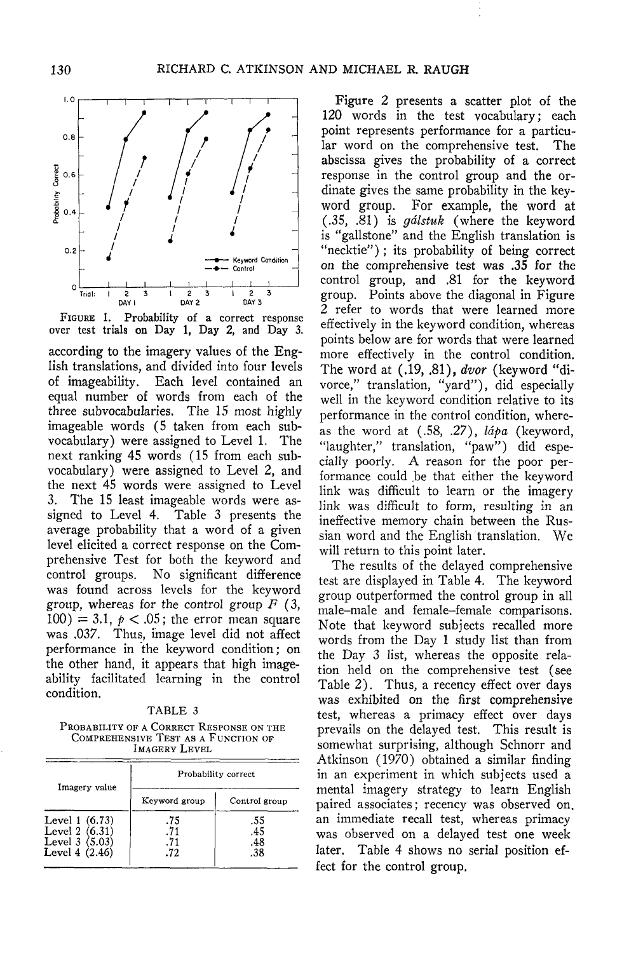

FIGURE 1. Probability of a correct response over test trials on Day 1, Day 2, and Day 3.

according to the imagery values of the English translations, and divided into four levels of imageability. Each level contained an equal number of words from each of the three subvocabularies. The 15 most highly imageable words (5 taken from each subvocabulary) were assigned to Level 1. The next ranking 45 words (15 from each subvocabulary) were assigned to Level 2, and the next 45 words were assigned to Level 3. The 15 least imageable words were as-<br>signed to Level 4. Table 3 presents the Table 3 presents the average probability that a word of a given level elicited a correct response on the Comprehensive Test for both the keyword and control groups. No significant difference was found across levels for the keyword group, whereas for the control group *F* (3,  $100$ ) = 3.1,  $p < .05$ ; the error mean square was ,037. Thus, image level did not affect performance in the keyword condition; on the other hand, it appears that high imageability facilitated learning in the control condition.

| R<br>ш |  |
|--------|--|
|--------|--|

| Probability of a Correct Response on the |
|------------------------------------------|
| COMPREHENSIVE TEST AS A FUNCTION OF      |
| <b>IMAGERY LEVEL</b>                     |

| Imagery value                                                           | Probability correct |                          |  |  |
|-------------------------------------------------------------------------|---------------------|--------------------------|--|--|
|                                                                         | Keyword group       | Control group            |  |  |
| Level $1(6.73)$<br>Level $2(6.31)$<br>Level $3(5.03)$<br>Level 4 (2.46) | .75<br>.71<br>.72   | .55<br>.45<br>.48<br>.38 |  |  |

Figure 2 presents a scatter plot of the 120 words in the test vocabulary; each point represents performance for a particular word on the comprehensive test. The abscissa gives the probability of a correct response in the control group and the ordinate gives the same probability in the keyword group. For example, the word at (.35, .81) is *galstuk* (where the keyword is "gallstone" and the English translation is "necktie"); its probability of being correct on the comprehensive test was .35 for the control group, and .81 for the keyword group. Points above the diagonal in Figure 2 refer to words that were learned more effectively in the keyword condition, whereas points below are for words that were learned more effectively in the control condition. The word at (.19, .81), *dvor* (keyword "divorce," translation, "yard"), did especially well in the keyword condition relative to its performance in the control condition, whereas the word at (.58, .27), *lapa* (keyword, "laughter," translation, "paw") did especially poorly. A reason for the poor performance could be that either the keyword link was difficult to learn or the imagery link was difficult to form, resulting in an ineffective memory chain between the Russian word and the English translation. We will return to this point later.

The results of the delayed comprehensive test are displayed in Table 4. The keyword group outperformed the control group in all male-male and female-female comparisons. Note that keyword subjects recalled more words from the Day 1 study list than from the Day 3 list, whereas the opposite relation held on the comprehensive test (see Table 2). Thus, a recency effect over days was exhibited on the first comprehensive test, whereas a primacy effect over days prevails on the delayed test. This result is somewhat surprising, although Schnorr and Atkinson (1970) obtained a similar finding in an experiment in which subjects used a mental imagery strategy to learn English paired associates; recency was observed on. an immediate recall test, whereas primacy was observed on a delayed test one week later. Table 4 shows no serial position effect for the control group.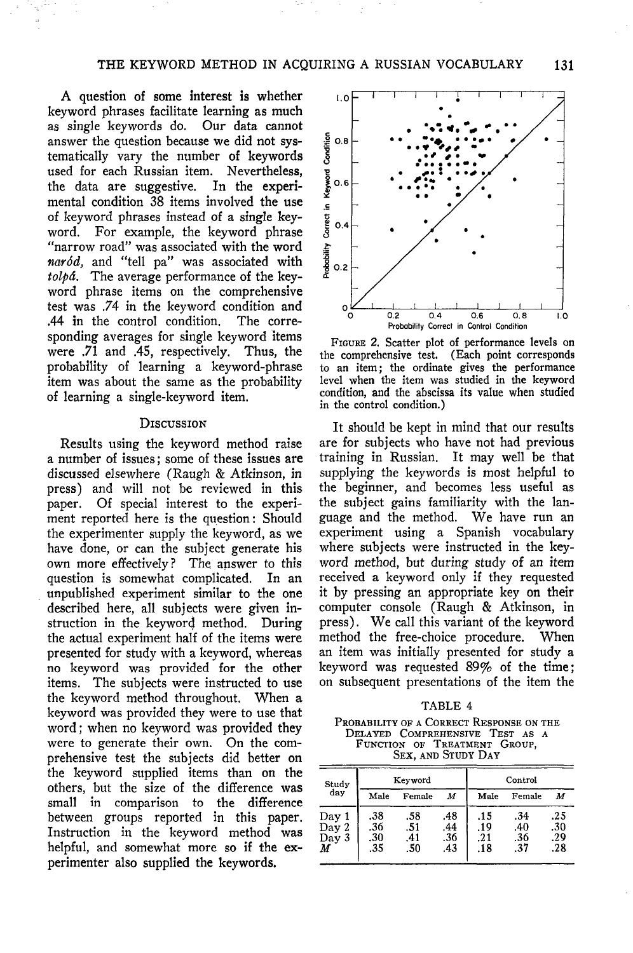A question of some interest is whether keyword phrases facilitate learning as much as single keywords do. Our data cannot answer the question because we did not systematically vary the number of keywords used for each Russian item. Nevertheless,<br>the data are suggestive. In the experithe data are suggestive. mental condition 38 items involved the use of keyword phrases instead of a single keyword. For example, the keyword phrase "narrow road" was associated with the word naród, and "tell pa" was associated with *tolpd.* The average performance of the keyword phrase items on the comprehensive test was .74 in the keyword condition and .44 in the control condition. The corresponding averages for single keyword items were .71 and .45, respectively. Thus, the probability of learning a keyword-phrase item was about the same as the probability of learning a single-keyword item.

### **DISCUSSION**

Results using the keyword method raise a number of issues; some of these issues are discussed elsewhere (Raugh & Atkinson, in press) and will not be reviewed in this paper. Of special interest to the experiment reported here is the question: Should the experimenter supply the keyword, as we have done, or can the subject generate his own more effectively? The answer to this question is somewhat complicated. In an unpublished experiment similar to the one described here, all subjects were given instruction in the keywor4 method. During the actual experiment half of the items were presented for study with a keyword, whereas no keyword was provided for the other items. The subjects were instructed to use the keyword method throughout. When a keyword was provided they were to use that word; when no keyword was provided they were to generate their own. On the comprehensive test the subjects did better on the keyword supplied items than on the others, but the size of the difference was small in comparison to the difference between groups reported in this paper. Instruction in the keyword method was helpful, and somewhat more so if the experimenter also supplied the keywords.



FIGURE 2. Scatter plot of performance levels on the comprehensive test. (Each point corresponds to an item; the ordinate gives the performance level when the item was studied in the keyword condition, and the abscissa its value when studied in the control condition.)

It should be kept in mind that our results are for subjects who have not had previous training in Russian. It may well be that supplying the keywords is most helpful to the beginner, and becomes less useful as the subject gains familiarity with the language and the method. We have run an experiment using a Spanish vocabulary where subjects were instructed in the keyword method, but during study of an item received a keyword only if they requested it by pressing an appropriate key on their computer console (Raugh & Atkinson, in press). We call this variant of the keyword method the free-choice procedure. When an item was initially presented for study a keyword was requested 89% of the time; on subsequent presentations of the item the

TABLE 4 PROBABILITY OF A CORRECT RESPONSE ON THE DELAYED COMPREHENSIVE TEST AS A FUNCTION OF TREATMENT GROUP, SEX, AND STUDY DAY

| Study                                     | Keyword                  |                          |                          | Control                  |                          |                          |
|-------------------------------------------|--------------------------|--------------------------|--------------------------|--------------------------|--------------------------|--------------------------|
| day                                       | Male                     | Female                   | М                        | Male                     | Female                   | M                        |
| Day 1<br>Day 2<br>Day 3<br>$\overline{M}$ | .38<br>.36<br>.30<br>.35 | .58<br>.51<br>.41<br>.50 | .48<br>.44<br>.36<br>.43 | .15<br>.19<br>.21<br>.18 | .34<br>.40<br>.36<br>.37 | .25<br>.30<br>.29<br>.28 |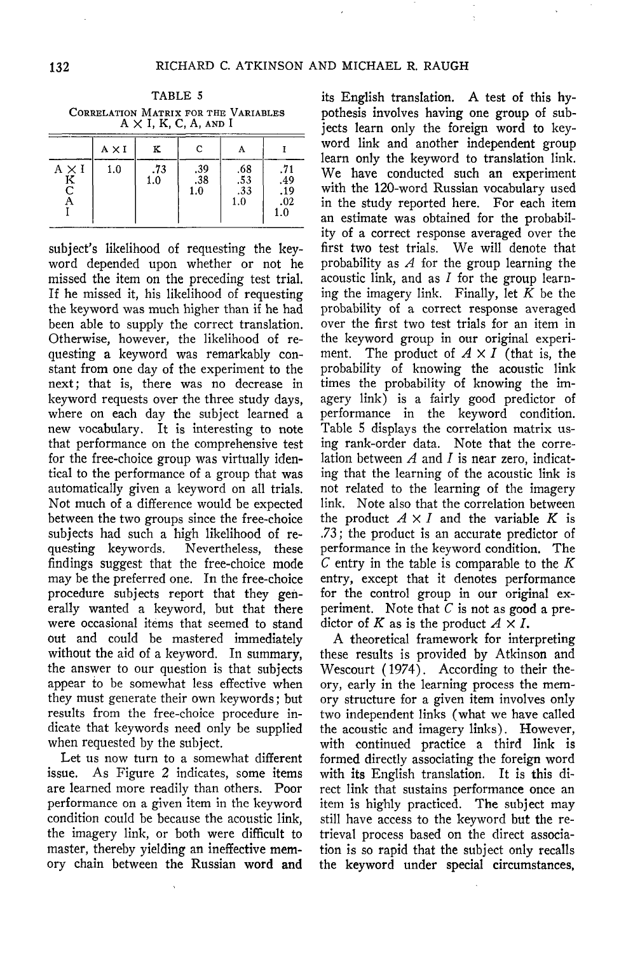TABLE 5 CORRELATION MATRIX FOR THE VARIABLES  $A \times I$ , K, C, A, and I

|                             | $A \times I$ | ĸ          | с                        | Α                        |                                 |
|-----------------------------|--------------|------------|--------------------------|--------------------------|---------------------------------|
| $A \times I$<br>K<br>Ċ<br>А | 1.0          | .73<br>1.0 | $\frac{.39}{.38}$<br>1.0 | .68<br>.53<br>.33<br>1.0 | .71<br>.49<br>.19<br>.02<br>1.0 |

subject's likelihood of requesting the keyword depended upon whether or not he missed the item on the preceding test trial. If he missed it, his likelihood of requesting the keyword was much higher than if he had been able to supply the correct translation. Otherwise, however, the likelihood of requesting a keyword was remarkably constant from one day of the experiment to the next; that is, there was no decrease in keyword requests over the three study days, where on each day the subject learned a new vocabulary. It is interesting to note that performance on the comprehensive test for the free-choice group was virtually identical to the performance of a group that was automatically given a keyword on all trials. Not much of a difference would be expected between the two groups since the free-choice subjects had such a high likelihood of requesting keywords. Nevertheless, these findings suggest that the free-choice mode may be the preferred one. In the free-choice procedure subjects report that they generally wanted a keyword, but that there were occasional items that seemed to stand out and could be mastered immediately without the aid of a keyword. In summary, the answer to our question is that subjects appear to be somewhat less effective when they must generate their own keywords; but results from the free-choice procedure indicate that keywords need only be supplied when requested by the subject.

Let us now turn to a somewhat different issue. As Figure 2 indicates, some items are learned more readily than others. Poor performance on a given item in the keyword condition could be because the acoustic link, the imagery link, or both were difficult to master, thereby yielding an ineffective memory chain between the Russian word and

its English translation. A test of this hypothesis involves having one group of subjects learn only the foreign word to keyword link and another independent group learn only the keyword to translation link. We have conducted such an experiment with the 120-word Russian vocabulary used in the study reported here. For each item an estimate was obtained for the probability of a correct response averaged over the first two test trials. We will denote that probability as *A* for the group learning the acoustic link, and as  $I$  for the group learning the imagery link. Finally, let *K* be the probability of a correct response averaged over the first two test trials for an item in the keyword group in our original experiment. The product of  $A \times I$  (that is, the probability of knowing the acoustic link times the probability of knowing the imagery link) is a fairly good predictor of performance in the keyword condition. Table *5* displays the correlation matrix using rank-order data. Note that the correlation between A and I is near zero, indicating that the learning of the acoustic link is not related to the learning of the imagery link. Note also that the correlation between the product  $A \times I$  and the variable K is .73; the product is an accurate predictor of performance in the keyword condition. The *C* entry in the table is comparable to the *K* entry, except that it denotes performance for the control group in our original experiment. Note that *C* is not as good a predictor of *K* as is the product *A X I.*

A theoretical framework for interpreting these results is provided by Atkinson and Wescourt (1974). According to their theory, early in the learning process the memory structure for a given item involves only two independent links (what we have called the acoustic and imagery links). However, with continued practice a third link is formed directly associating the foreign word with its English translation. It is this direct link that sustains performance once an item is highly practiced. The subject may still have access to the keyword but the retrieval process based on the direct association is so rapid that the subject only recalls the keyword under special circumstances,